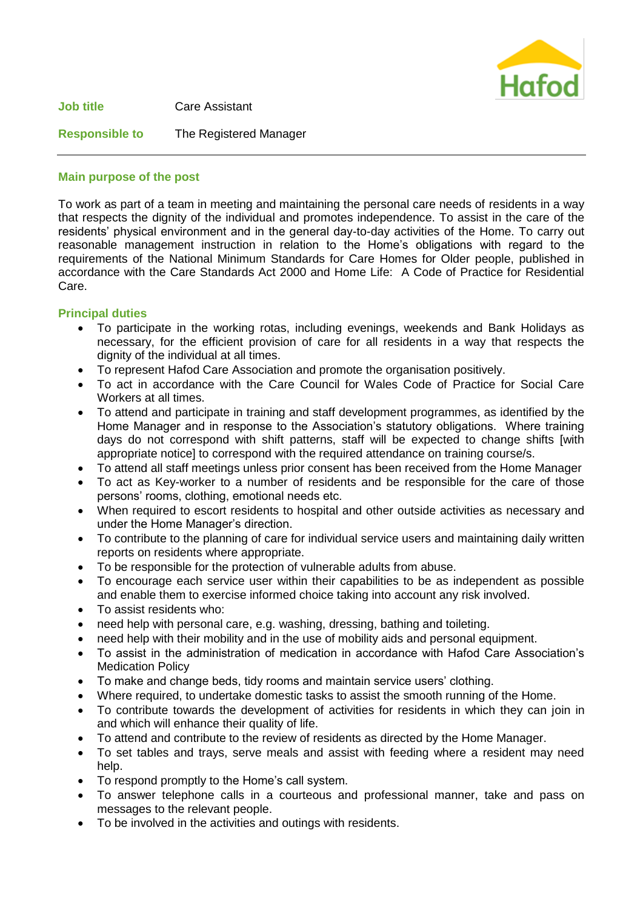

**Job title** Care Assistant

# **Responsible to** The Registered Manager

## **Main purpose of the post**

To work as part of a team in meeting and maintaining the personal care needs of residents in a way that respects the dignity of the individual and promotes independence. To assist in the care of the residents' physical environment and in the general day-to-day activities of the Home. To carry out reasonable management instruction in relation to the Home's obligations with regard to the requirements of the National Minimum Standards for Care Homes for Older people, published in accordance with the Care Standards Act 2000 and Home Life: A Code of Practice for Residential Care.

## **Principal duties**

- To participate in the working rotas, including evenings, weekends and Bank Holidays as necessary, for the efficient provision of care for all residents in a way that respects the dignity of the individual at all times.
- To represent Hafod Care Association and promote the organisation positively.
- To act in accordance with the Care Council for Wales Code of Practice for Social Care Workers at all times.
- To attend and participate in training and staff development programmes, as identified by the Home Manager and in response to the Association's statutory obligations. Where training days do not correspond with shift patterns, staff will be expected to change shifts [with appropriate notice] to correspond with the required attendance on training course/s.
- To attend all staff meetings unless prior consent has been received from the Home Manager
- To act as Key-worker to a number of residents and be responsible for the care of those persons' rooms, clothing, emotional needs etc.
- When required to escort residents to hospital and other outside activities as necessary and under the Home Manager's direction.
- To contribute to the planning of care for individual service users and maintaining daily written reports on residents where appropriate.
- To be responsible for the protection of vulnerable adults from abuse.
- To encourage each service user within their capabilities to be as independent as possible and enable them to exercise informed choice taking into account any risk involved.
- To assist residents who:
- need help with personal care, e.g. washing, dressing, bathing and toileting.
- need help with their mobility and in the use of mobility aids and personal equipment.
- To assist in the administration of medication in accordance with Hafod Care Association's Medication Policy
- To make and change beds, tidy rooms and maintain service users' clothing.
- Where required, to undertake domestic tasks to assist the smooth running of the Home.
- To contribute towards the development of activities for residents in which they can join in and which will enhance their quality of life.
- To attend and contribute to the review of residents as directed by the Home Manager.
- To set tables and trays, serve meals and assist with feeding where a resident may need help.
- To respond promptly to the Home's call system.
- To answer telephone calls in a courteous and professional manner, take and pass on messages to the relevant people.
- To be involved in the activities and outings with residents.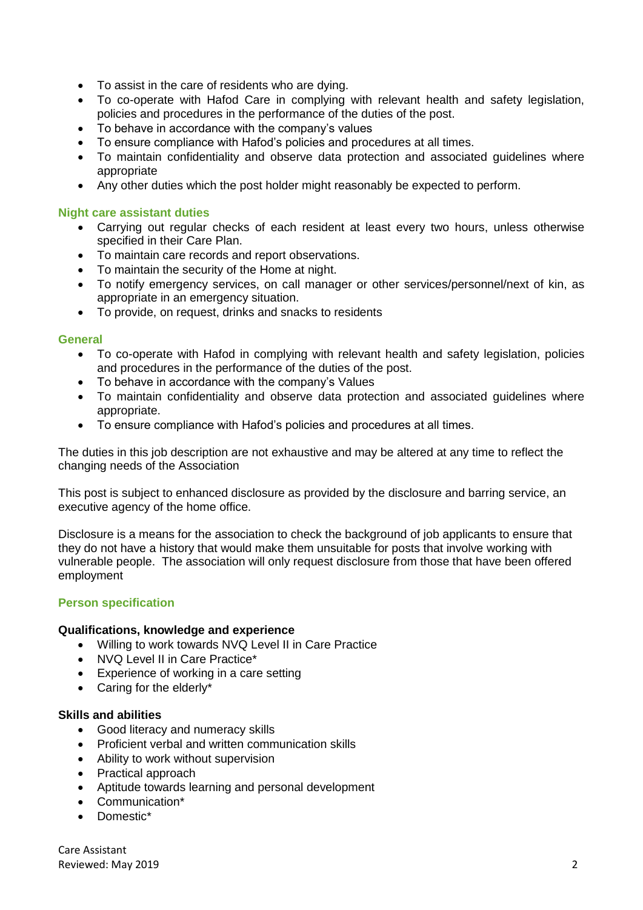- To assist in the care of residents who are dying.
- To co-operate with Hafod Care in complying with relevant health and safety legislation, policies and procedures in the performance of the duties of the post.
- To behave in accordance with the company's values
- To ensure compliance with Hafod's policies and procedures at all times.
- To maintain confidentiality and observe data protection and associated guidelines where appropriate
- Any other duties which the post holder might reasonably be expected to perform.

#### **Night care assistant duties**

- Carrying out regular checks of each resident at least every two hours, unless otherwise specified in their Care Plan.
- To maintain care records and report observations.
- To maintain the security of the Home at night.
- To notify emergency services, on call manager or other services/personnel/next of kin, as appropriate in an emergency situation.
- To provide, on request, drinks and snacks to residents

#### **General**

- To co-operate with Hafod in complying with relevant health and safety legislation, policies and procedures in the performance of the duties of the post.
- To behave in accordance with the company's Values
- To maintain confidentiality and observe data protection and associated guidelines where appropriate.
- To ensure compliance with Hafod's policies and procedures at all times.

The duties in this job description are not exhaustive and may be altered at any time to reflect the changing needs of the Association

This post is subject to enhanced disclosure as provided by the disclosure and barring service, an executive agency of the home office.

Disclosure is a means for the association to check the background of job applicants to ensure that they do not have a history that would make them unsuitable for posts that involve working with vulnerable people. The association will only request disclosure from those that have been offered employment

#### **Person specification**

#### **Qualifications, knowledge and experience**

- Willing to work towards NVQ Level II in Care Practice
- NVQ Level II in Care Practice\*
- Experience of working in a care setting
- Caring for the elderly\*

#### **Skills and abilities**

- Good literacy and numeracy skills
- Proficient verbal and written communication skills
- Ability to work without supervision
- Practical approach
- Aptitude towards learning and personal development
- Communication\*
- Domestic\*